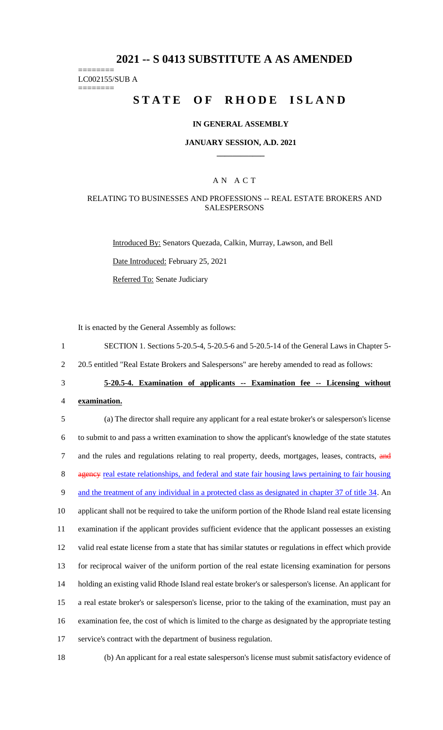## **2021 -- S 0413 SUBSTITUTE A AS AMENDED**

======== LC002155/SUB A

========

# **STATE OF RHODE ISLAND**

### **IN GENERAL ASSEMBLY**

### **JANUARY SESSION, A.D. 2021 \_\_\_\_\_\_\_\_\_\_\_\_**

## A N A C T

### RELATING TO BUSINESSES AND PROFESSIONS -- REAL ESTATE BROKERS AND **SALESPERSONS**

Introduced By: Senators Quezada, Calkin, Murray, Lawson, and Bell

Date Introduced: February 25, 2021

Referred To: Senate Judiciary

It is enacted by the General Assembly as follows:

- 1 SECTION 1. Sections 5-20.5-4, 5-20.5-6 and 5-20.5-14 of the General Laws in Chapter 5-
- 2 20.5 entitled "Real Estate Brokers and Salespersons" are hereby amended to read as follows:
- 

### 3 **5-20.5-4. Examination of applicants -- Examination fee -- Licensing without**

4 **examination.**

 (a) The director shall require any applicant for a real estate broker's or salesperson's license to submit to and pass a written examination to show the applicant's knowledge of the state statutes 7 and the rules and regulations relating to real property, deeds, mortgages, leases, contracts, and 8 agency real estate relationships, and federal and state fair housing laws pertaining to fair housing 9 and the treatment of any individual in a protected class as designated in chapter 37 of title 34. An applicant shall not be required to take the uniform portion of the Rhode Island real estate licensing examination if the applicant provides sufficient evidence that the applicant possesses an existing valid real estate license from a state that has similar statutes or regulations in effect which provide for reciprocal waiver of the uniform portion of the real estate licensing examination for persons holding an existing valid Rhode Island real estate broker's or salesperson's license. An applicant for a real estate broker's or salesperson's license, prior to the taking of the examination, must pay an examination fee, the cost of which is limited to the charge as designated by the appropriate testing service's contract with the department of business regulation.

18 (b) An applicant for a real estate salesperson's license must submit satisfactory evidence of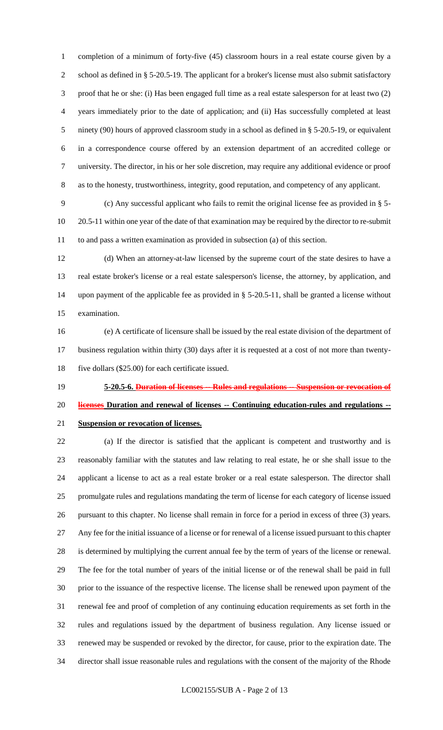completion of a minimum of forty-five (45) classroom hours in a real estate course given by a school as defined in § 5-20.5-19. The applicant for a broker's license must also submit satisfactory proof that he or she: (i) Has been engaged full time as a real estate salesperson for at least two (2) years immediately prior to the date of application; and (ii) Has successfully completed at least ninety (90) hours of approved classroom study in a school as defined in § 5-20.5-19, or equivalent in a correspondence course offered by an extension department of an accredited college or university. The director, in his or her sole discretion, may require any additional evidence or proof as to the honesty, trustworthiness, integrity, good reputation, and competency of any applicant.

 (c) Any successful applicant who fails to remit the original license fee as provided in § 5- 20.5-11 within one year of the date of that examination may be required by the director to re-submit to and pass a written examination as provided in subsection (a) of this section.

 (d) When an attorney-at-law licensed by the supreme court of the state desires to have a real estate broker's license or a real estate salesperson's license, the attorney, by application, and upon payment of the applicable fee as provided in § 5-20.5-11, shall be granted a license without examination.

- (e) A certificate of licensure shall be issued by the real estate division of the department of business regulation within thirty (30) days after it is requested at a cost of not more than twenty-five dollars (\$25.00) for each certificate issued.
- **5-20.5-6. Duration of licenses -- Rules and regulations -- Suspension or revocation of licenses Duration and renewal of licenses -- Continuing education-rules and regulations -- Suspension or revocation of licenses.**

 (a) If the director is satisfied that the applicant is competent and trustworthy and is reasonably familiar with the statutes and law relating to real estate, he or she shall issue to the applicant a license to act as a real estate broker or a real estate salesperson. The director shall promulgate rules and regulations mandating the term of license for each category of license issued pursuant to this chapter. No license shall remain in force for a period in excess of three (3) years. Any fee for the initial issuance of a license or for renewal of a license issued pursuant to this chapter is determined by multiplying the current annual fee by the term of years of the license or renewal. The fee for the total number of years of the initial license or of the renewal shall be paid in full prior to the issuance of the respective license. The license shall be renewed upon payment of the renewal fee and proof of completion of any continuing education requirements as set forth in the rules and regulations issued by the department of business regulation. Any license issued or renewed may be suspended or revoked by the director, for cause, prior to the expiration date. The director shall issue reasonable rules and regulations with the consent of the majority of the Rhode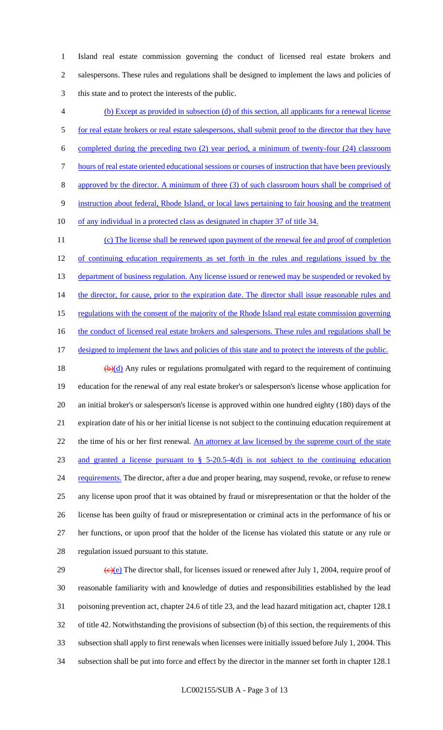Island real estate commission governing the conduct of licensed real estate brokers and salespersons. These rules and regulations shall be designed to implement the laws and policies of this state and to protect the interests of the public.

 (b) Except as provided in subsection (d) of this section, all applicants for a renewal license 5 for real estate brokers or real estate salespersons, shall submit proof to the director that they have completed during the preceding two (2) year period, a minimum of twenty-four (24) classroom hours of real estate oriented educational sessions or courses of instruction that have been previously approved by the director. A minimum of three (3) of such classroom hours shall be comprised of instruction about federal, Rhode Island, or local laws pertaining to fair housing and the treatment 10 of any individual in a protected class as designated in chapter 37 of title 34. 11 (c) The license shall be renewed upon payment of the renewal fee and proof of completion 12 of continuing education requirements as set forth in the rules and regulations issued by the 13 department of business regulation. Any license issued or renewed may be suspended or revoked by 14 the director, for cause, prior to the expiration date. The director shall issue reasonable rules and regulations with the consent of the majority of the Rhode Island real estate commission governing 16 the conduct of licensed real estate brokers and salespersons. These rules and regulations shall be 17 designed to implement the laws and policies of this state and to protect the interests of the public. 18  $\left(\frac{b}{d}\right)$  Any rules or regulations promulgated with regard to the requirement of continuing education for the renewal of any real estate broker's or salesperson's license whose application for an initial broker's or salesperson's license is approved within one hundred eighty (180) days of the expiration date of his or her initial license is not subject to the continuing education requirement at 22 the time of his or her first renewal. An attorney at law licensed by the supreme court of the state and granted a license pursuant to § 5-20.5-4(d) is not subject to the continuing education 24 requirements. The director, after a due and proper hearing, may suspend, revoke, or refuse to renew any license upon proof that it was obtained by fraud or misrepresentation or that the holder of the license has been guilty of fraud or misrepresentation or criminal acts in the performance of his or her functions, or upon proof that the holder of the license has violated this statute or any rule or regulation issued pursuant to this statute.

 $\left(\frac{e}{e}\right)$  The director shall, for licenses issued or renewed after July 1, 2004, require proof of reasonable familiarity with and knowledge of duties and responsibilities established by the lead poisoning prevention act, chapter 24.6 of title 23, and the lead hazard mitigation act, chapter 128.1 of title 42. Notwithstanding the provisions of subsection (b) of this section, the requirements of this subsection shall apply to first renewals when licenses were initially issued before July 1, 2004. This subsection shall be put into force and effect by the director in the manner set forth in chapter 128.1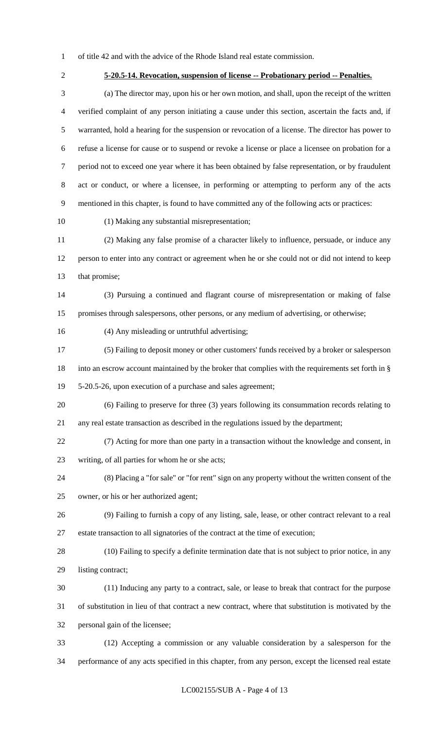- of title 42 and with the advice of the Rhode Island real estate commission.
- 

# **5-20.5-14. Revocation, suspension of license -- Probationary period -- Penalties.**

 (a) The director may, upon his or her own motion, and shall, upon the receipt of the written verified complaint of any person initiating a cause under this section, ascertain the facts and, if warranted, hold a hearing for the suspension or revocation of a license. The director has power to refuse a license for cause or to suspend or revoke a license or place a licensee on probation for a period not to exceed one year where it has been obtained by false representation, or by fraudulent act or conduct, or where a licensee, in performing or attempting to perform any of the acts mentioned in this chapter, is found to have committed any of the following acts or practices:

(1) Making any substantial misrepresentation;

 (2) Making any false promise of a character likely to influence, persuade, or induce any person to enter into any contract or agreement when he or she could not or did not intend to keep 13 that promise;

 (3) Pursuing a continued and flagrant course of misrepresentation or making of false promises through salespersons, other persons, or any medium of advertising, or otherwise;

(4) Any misleading or untruthful advertising;

 (5) Failing to deposit money or other customers' funds received by a broker or salesperson into an escrow account maintained by the broker that complies with the requirements set forth in § 5-20.5-26, upon execution of a purchase and sales agreement;

 (6) Failing to preserve for three (3) years following its consummation records relating to any real estate transaction as described in the regulations issued by the department;

 (7) Acting for more than one party in a transaction without the knowledge and consent, in writing, of all parties for whom he or she acts;

 (8) Placing a "for sale" or "for rent" sign on any property without the written consent of the owner, or his or her authorized agent;

 (9) Failing to furnish a copy of any listing, sale, lease, or other contract relevant to a real estate transaction to all signatories of the contract at the time of execution;

 (10) Failing to specify a definite termination date that is not subject to prior notice, in any listing contract;

 (11) Inducing any party to a contract, sale, or lease to break that contract for the purpose of substitution in lieu of that contract a new contract, where that substitution is motivated by the personal gain of the licensee;

 (12) Accepting a commission or any valuable consideration by a salesperson for the performance of any acts specified in this chapter, from any person, except the licensed real estate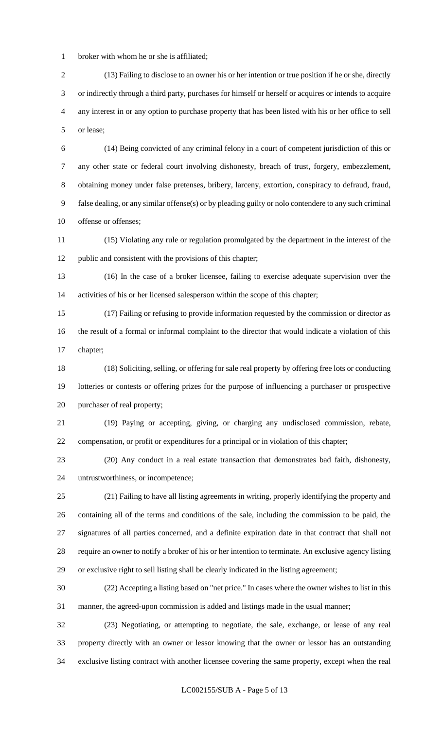broker with whom he or she is affiliated;

 (13) Failing to disclose to an owner his or her intention or true position if he or she, directly or indirectly through a third party, purchases for himself or herself or acquires or intends to acquire any interest in or any option to purchase property that has been listed with his or her office to sell or lease;

 (14) Being convicted of any criminal felony in a court of competent jurisdiction of this or any other state or federal court involving dishonesty, breach of trust, forgery, embezzlement, obtaining money under false pretenses, bribery, larceny, extortion, conspiracy to defraud, fraud, false dealing, or any similar offense(s) or by pleading guilty or nolo contendere to any such criminal 10 offense or offenses;

 (15) Violating any rule or regulation promulgated by the department in the interest of the public and consistent with the provisions of this chapter;

 (16) In the case of a broker licensee, failing to exercise adequate supervision over the activities of his or her licensed salesperson within the scope of this chapter;

 (17) Failing or refusing to provide information requested by the commission or director as the result of a formal or informal complaint to the director that would indicate a violation of this chapter;

 (18) Soliciting, selling, or offering for sale real property by offering free lots or conducting lotteries or contests or offering prizes for the purpose of influencing a purchaser or prospective purchaser of real property;

 (19) Paying or accepting, giving, or charging any undisclosed commission, rebate, compensation, or profit or expenditures for a principal or in violation of this chapter;

 (20) Any conduct in a real estate transaction that demonstrates bad faith, dishonesty, untrustworthiness, or incompetence;

 (21) Failing to have all listing agreements in writing, properly identifying the property and containing all of the terms and conditions of the sale, including the commission to be paid, the signatures of all parties concerned, and a definite expiration date in that contract that shall not require an owner to notify a broker of his or her intention to terminate. An exclusive agency listing or exclusive right to sell listing shall be clearly indicated in the listing agreement;

 (22) Accepting a listing based on "net price." In cases where the owner wishes to list in this manner, the agreed-upon commission is added and listings made in the usual manner;

 (23) Negotiating, or attempting to negotiate, the sale, exchange, or lease of any real property directly with an owner or lessor knowing that the owner or lessor has an outstanding exclusive listing contract with another licensee covering the same property, except when the real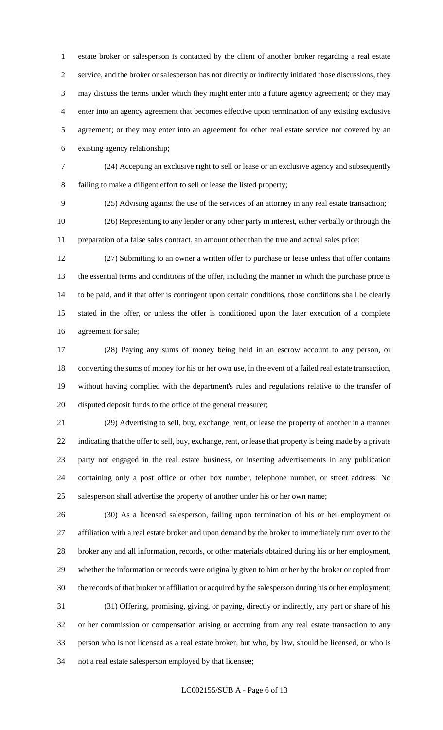estate broker or salesperson is contacted by the client of another broker regarding a real estate service, and the broker or salesperson has not directly or indirectly initiated those discussions, they may discuss the terms under which they might enter into a future agency agreement; or they may enter into an agency agreement that becomes effective upon termination of any existing exclusive agreement; or they may enter into an agreement for other real estate service not covered by an existing agency relationship;

 (24) Accepting an exclusive right to sell or lease or an exclusive agency and subsequently failing to make a diligent effort to sell or lease the listed property;

(25) Advising against the use of the services of an attorney in any real estate transaction;

 (26) Representing to any lender or any other party in interest, either verbally or through the preparation of a false sales contract, an amount other than the true and actual sales price;

 (27) Submitting to an owner a written offer to purchase or lease unless that offer contains the essential terms and conditions of the offer, including the manner in which the purchase price is to be paid, and if that offer is contingent upon certain conditions, those conditions shall be clearly stated in the offer, or unless the offer is conditioned upon the later execution of a complete agreement for sale;

 (28) Paying any sums of money being held in an escrow account to any person, or converting the sums of money for his or her own use, in the event of a failed real estate transaction, without having complied with the department's rules and regulations relative to the transfer of disputed deposit funds to the office of the general treasurer;

 (29) Advertising to sell, buy, exchange, rent, or lease the property of another in a manner indicating that the offer to sell, buy, exchange, rent, or lease that property is being made by a private party not engaged in the real estate business, or inserting advertisements in any publication containing only a post office or other box number, telephone number, or street address. No salesperson shall advertise the property of another under his or her own name;

 (30) As a licensed salesperson, failing upon termination of his or her employment or affiliation with a real estate broker and upon demand by the broker to immediately turn over to the broker any and all information, records, or other materials obtained during his or her employment, whether the information or records were originally given to him or her by the broker or copied from the records of that broker or affiliation or acquired by the salesperson during his or her employment; (31) Offering, promising, giving, or paying, directly or indirectly, any part or share of his or her commission or compensation arising or accruing from any real estate transaction to any person who is not licensed as a real estate broker, but who, by law, should be licensed, or who is not a real estate salesperson employed by that licensee;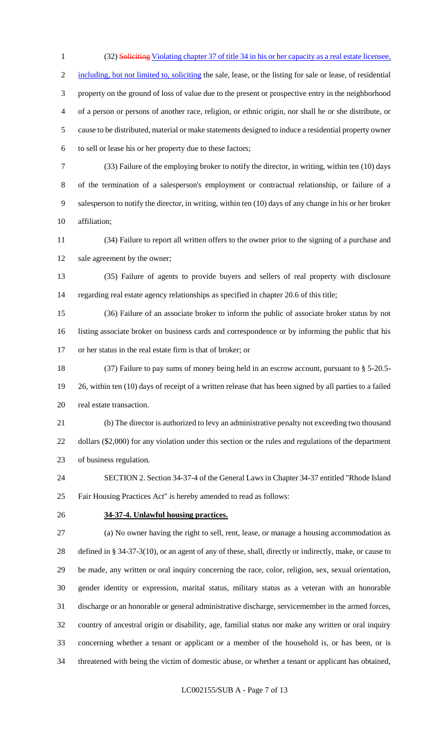1 (32) Soliciting Violating chapter 37 of title 34 in his or her capacity as a real estate licensee. 2 including, but not limited to, soliciting the sale, lease, or the listing for sale or lease, of residential property on the ground of loss of value due to the present or prospective entry in the neighborhood of a person or persons of another race, religion, or ethnic origin, nor shall he or she distribute, or cause to be distributed, material or make statements designed to induce a residential property owner to sell or lease his or her property due to these factors;

 (33) Failure of the employing broker to notify the director, in writing, within ten (10) days of the termination of a salesperson's employment or contractual relationship, or failure of a salesperson to notify the director, in writing, within ten (10) days of any change in his or her broker affiliation;

 (34) Failure to report all written offers to the owner prior to the signing of a purchase and 12 sale agreement by the owner;

 (35) Failure of agents to provide buyers and sellers of real property with disclosure regarding real estate agency relationships as specified in chapter 20.6 of this title;

 (36) Failure of an associate broker to inform the public of associate broker status by not listing associate broker on business cards and correspondence or by informing the public that his or her status in the real estate firm is that of broker; or

 (37) Failure to pay sums of money being held in an escrow account, pursuant to § 5-20.5- 26, within ten (10) days of receipt of a written release that has been signed by all parties to a failed real estate transaction.

 (b) The director is authorized to levy an administrative penalty not exceeding two thousand dollars (\$2,000) for any violation under this section or the rules and regulations of the department of business regulation.

 SECTION 2. Section 34-37-4 of the General Laws in Chapter 34-37 entitled "Rhode Island Fair Housing Practices Act" is hereby amended to read as follows:

## **34-37-4. Unlawful housing practices.**

 (a) No owner having the right to sell, rent, lease, or manage a housing accommodation as defined in § 34-37-3(10), or an agent of any of these, shall, directly or indirectly, make, or cause to be made, any written or oral inquiry concerning the race, color, religion, sex, sexual orientation, gender identity or expression, marital status, military status as a veteran with an honorable discharge or an honorable or general administrative discharge, servicemember in the armed forces, country of ancestral origin or disability, age, familial status nor make any written or oral inquiry concerning whether a tenant or applicant or a member of the household is, or has been, or is threatened with being the victim of domestic abuse, or whether a tenant or applicant has obtained,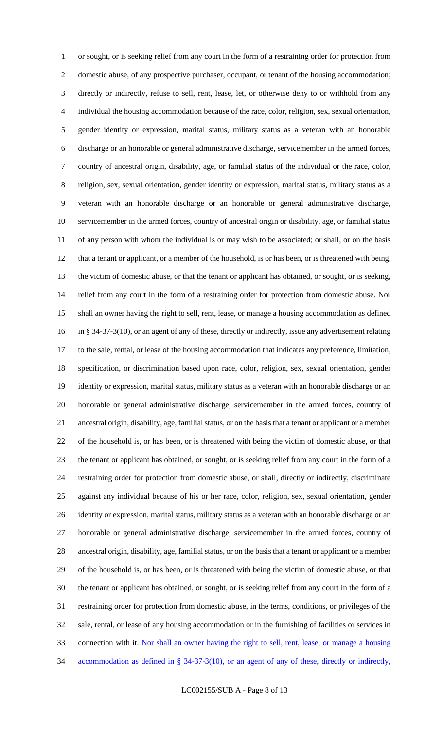or sought, or is seeking relief from any court in the form of a restraining order for protection from domestic abuse, of any prospective purchaser, occupant, or tenant of the housing accommodation; directly or indirectly, refuse to sell, rent, lease, let, or otherwise deny to or withhold from any individual the housing accommodation because of the race, color, religion, sex, sexual orientation, gender identity or expression, marital status, military status as a veteran with an honorable discharge or an honorable or general administrative discharge, servicemember in the armed forces, country of ancestral origin, disability, age, or familial status of the individual or the race, color, religion, sex, sexual orientation, gender identity or expression, marital status, military status as a veteran with an honorable discharge or an honorable or general administrative discharge, servicemember in the armed forces, country of ancestral origin or disability, age, or familial status of any person with whom the individual is or may wish to be associated; or shall, or on the basis 12 that a tenant or applicant, or a member of the household, is or has been, or is threatened with being, the victim of domestic abuse, or that the tenant or applicant has obtained, or sought, or is seeking, relief from any court in the form of a restraining order for protection from domestic abuse. Nor shall an owner having the right to sell, rent, lease, or manage a housing accommodation as defined in § 34-37-3(10), or an agent of any of these, directly or indirectly, issue any advertisement relating to the sale, rental, or lease of the housing accommodation that indicates any preference, limitation, specification, or discrimination based upon race, color, religion, sex, sexual orientation, gender identity or expression, marital status, military status as a veteran with an honorable discharge or an honorable or general administrative discharge, servicemember in the armed forces, country of ancestral origin, disability, age, familial status, or on the basis that a tenant or applicant or a member of the household is, or has been, or is threatened with being the victim of domestic abuse, or that the tenant or applicant has obtained, or sought, or is seeking relief from any court in the form of a restraining order for protection from domestic abuse, or shall, directly or indirectly, discriminate against any individual because of his or her race, color, religion, sex, sexual orientation, gender identity or expression, marital status, military status as a veteran with an honorable discharge or an honorable or general administrative discharge, servicemember in the armed forces, country of ancestral origin, disability, age, familial status, or on the basis that a tenant or applicant or a member of the household is, or has been, or is threatened with being the victim of domestic abuse, or that the tenant or applicant has obtained, or sought, or is seeking relief from any court in the form of a restraining order for protection from domestic abuse, in the terms, conditions, or privileges of the sale, rental, or lease of any housing accommodation or in the furnishing of facilities or services in connection with it. Nor shall an owner having the right to sell, rent, lease, or manage a housing accommodation as defined in § 34-37-3(10), or an agent of any of these, directly or indirectly,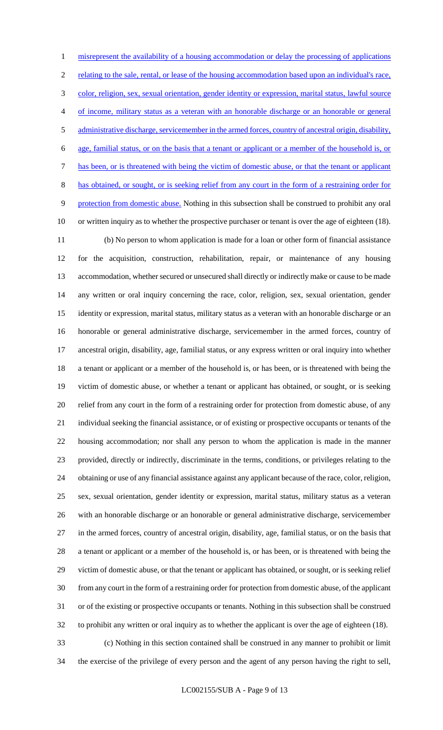misrepresent the availability of a housing accommodation or delay the processing of applications relating to the sale, rental, or lease of the housing accommodation based upon an individual's race, color, religion, sex, sexual orientation, gender identity or expression, marital status, lawful source of income, military status as a veteran with an honorable discharge or an honorable or general administrative discharge, servicemember in the armed forces, country of ancestral origin, disability, age, familial status, or on the basis that a tenant or applicant or a member of the household is, or has been, or is threatened with being the victim of domestic abuse, or that the tenant or applicant has obtained, or sought, or is seeking relief from any court in the form of a restraining order for protection from domestic abuse. Nothing in this subsection shall be construed to prohibit any oral or written inquiry as to whether the prospective purchaser or tenant is over the age of eighteen (18).

 (b) No person to whom application is made for a loan or other form of financial assistance for the acquisition, construction, rehabilitation, repair, or maintenance of any housing accommodation, whether secured or unsecured shall directly or indirectly make or cause to be made any written or oral inquiry concerning the race, color, religion, sex, sexual orientation, gender identity or expression, marital status, military status as a veteran with an honorable discharge or an honorable or general administrative discharge, servicemember in the armed forces, country of ancestral origin, disability, age, familial status, or any express written or oral inquiry into whether a tenant or applicant or a member of the household is, or has been, or is threatened with being the victim of domestic abuse, or whether a tenant or applicant has obtained, or sought, or is seeking relief from any court in the form of a restraining order for protection from domestic abuse, of any individual seeking the financial assistance, or of existing or prospective occupants or tenants of the housing accommodation; nor shall any person to whom the application is made in the manner provided, directly or indirectly, discriminate in the terms, conditions, or privileges relating to the obtaining or use of any financial assistance against any applicant because of the race, color, religion, sex, sexual orientation, gender identity or expression, marital status, military status as a veteran with an honorable discharge or an honorable or general administrative discharge, servicemember in the armed forces, country of ancestral origin, disability, age, familial status, or on the basis that a tenant or applicant or a member of the household is, or has been, or is threatened with being the victim of domestic abuse, or that the tenant or applicant has obtained, or sought, or is seeking relief from any court in the form of a restraining order for protection from domestic abuse, of the applicant or of the existing or prospective occupants or tenants. Nothing in this subsection shall be construed to prohibit any written or oral inquiry as to whether the applicant is over the age of eighteen (18). (c) Nothing in this section contained shall be construed in any manner to prohibit or limit

the exercise of the privilege of every person and the agent of any person having the right to sell,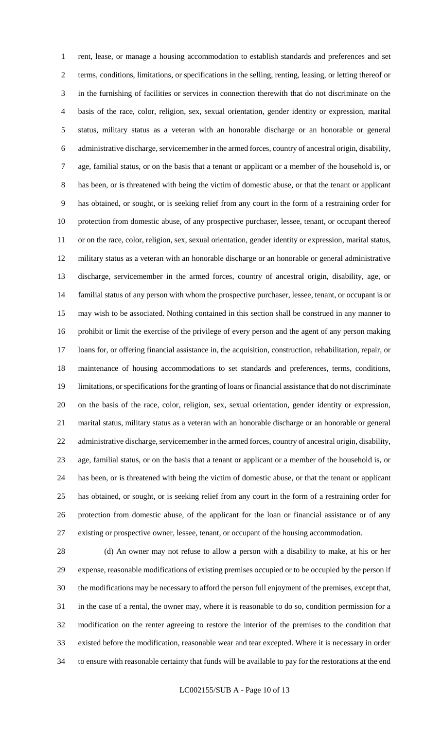rent, lease, or manage a housing accommodation to establish standards and preferences and set terms, conditions, limitations, or specifications in the selling, renting, leasing, or letting thereof or in the furnishing of facilities or services in connection therewith that do not discriminate on the basis of the race, color, religion, sex, sexual orientation, gender identity or expression, marital status, military status as a veteran with an honorable discharge or an honorable or general administrative discharge, servicemember in the armed forces, country of ancestral origin, disability, age, familial status, or on the basis that a tenant or applicant or a member of the household is, or has been, or is threatened with being the victim of domestic abuse, or that the tenant or applicant has obtained, or sought, or is seeking relief from any court in the form of a restraining order for protection from domestic abuse, of any prospective purchaser, lessee, tenant, or occupant thereof or on the race, color, religion, sex, sexual orientation, gender identity or expression, marital status, military status as a veteran with an honorable discharge or an honorable or general administrative discharge, servicemember in the armed forces, country of ancestral origin, disability, age, or familial status of any person with whom the prospective purchaser, lessee, tenant, or occupant is or may wish to be associated. Nothing contained in this section shall be construed in any manner to prohibit or limit the exercise of the privilege of every person and the agent of any person making loans for, or offering financial assistance in, the acquisition, construction, rehabilitation, repair, or maintenance of housing accommodations to set standards and preferences, terms, conditions, limitations, or specifications for the granting of loans or financial assistance that do not discriminate on the basis of the race, color, religion, sex, sexual orientation, gender identity or expression, marital status, military status as a veteran with an honorable discharge or an honorable or general administrative discharge, servicemember in the armed forces, country of ancestral origin, disability, age, familial status, or on the basis that a tenant or applicant or a member of the household is, or has been, or is threatened with being the victim of domestic abuse, or that the tenant or applicant has obtained, or sought, or is seeking relief from any court in the form of a restraining order for protection from domestic abuse, of the applicant for the loan or financial assistance or of any existing or prospective owner, lessee, tenant, or occupant of the housing accommodation.

 (d) An owner may not refuse to allow a person with a disability to make, at his or her expense, reasonable modifications of existing premises occupied or to be occupied by the person if the modifications may be necessary to afford the person full enjoyment of the premises, except that, in the case of a rental, the owner may, where it is reasonable to do so, condition permission for a modification on the renter agreeing to restore the interior of the premises to the condition that existed before the modification, reasonable wear and tear excepted. Where it is necessary in order to ensure with reasonable certainty that funds will be available to pay for the restorations at the end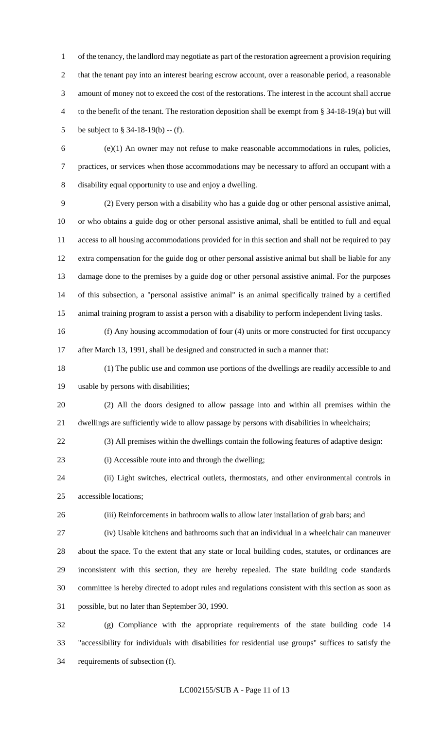of the tenancy, the landlord may negotiate as part of the restoration agreement a provision requiring that the tenant pay into an interest bearing escrow account, over a reasonable period, a reasonable amount of money not to exceed the cost of the restorations. The interest in the account shall accrue to the benefit of the tenant. The restoration deposition shall be exempt from § 34-18-19(a) but will be subject to § 34-18-19(b) -- (f).

 (e)(1) An owner may not refuse to make reasonable accommodations in rules, policies, practices, or services when those accommodations may be necessary to afford an occupant with a disability equal opportunity to use and enjoy a dwelling.

 (2) Every person with a disability who has a guide dog or other personal assistive animal, or who obtains a guide dog or other personal assistive animal, shall be entitled to full and equal access to all housing accommodations provided for in this section and shall not be required to pay extra compensation for the guide dog or other personal assistive animal but shall be liable for any damage done to the premises by a guide dog or other personal assistive animal. For the purposes of this subsection, a "personal assistive animal" is an animal specifically trained by a certified animal training program to assist a person with a disability to perform independent living tasks.

 (f) Any housing accommodation of four (4) units or more constructed for first occupancy after March 13, 1991, shall be designed and constructed in such a manner that:

 (1) The public use and common use portions of the dwellings are readily accessible to and usable by persons with disabilities;

 (2) All the doors designed to allow passage into and within all premises within the dwellings are sufficiently wide to allow passage by persons with disabilities in wheelchairs;

(3) All premises within the dwellings contain the following features of adaptive design:

(i) Accessible route into and through the dwelling;

 (ii) Light switches, electrical outlets, thermostats, and other environmental controls in accessible locations;

(iii) Reinforcements in bathroom walls to allow later installation of grab bars; and

 (iv) Usable kitchens and bathrooms such that an individual in a wheelchair can maneuver about the space. To the extent that any state or local building codes, statutes, or ordinances are inconsistent with this section, they are hereby repealed. The state building code standards committee is hereby directed to adopt rules and regulations consistent with this section as soon as possible, but no later than September 30, 1990.

 (g) Compliance with the appropriate requirements of the state building code 14 "accessibility for individuals with disabilities for residential use groups" suffices to satisfy the requirements of subsection (f).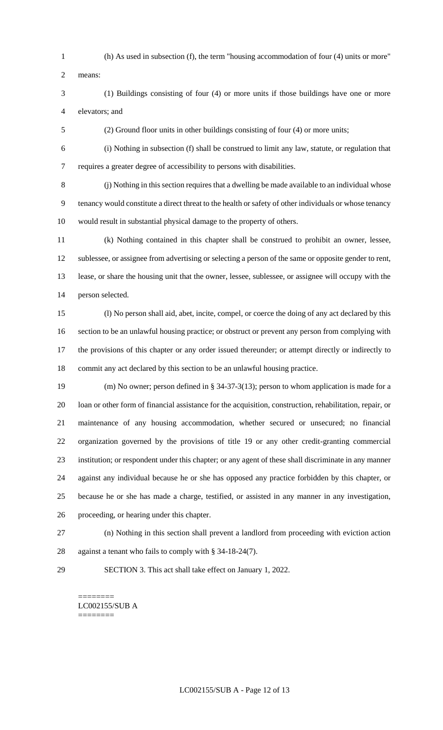(h) As used in subsection (f), the term "housing accommodation of four (4) units or more"

- means:
- (1) Buildings consisting of four (4) or more units if those buildings have one or more elevators; and
- (2) Ground floor units in other buildings consisting of four (4) or more units;
- (i) Nothing in subsection (f) shall be construed to limit any law, statute, or regulation that requires a greater degree of accessibility to persons with disabilities.

 (j) Nothing in this section requires that a dwelling be made available to an individual whose tenancy would constitute a direct threat to the health or safety of other individuals or whose tenancy would result in substantial physical damage to the property of others.

 (k) Nothing contained in this chapter shall be construed to prohibit an owner, lessee, sublessee, or assignee from advertising or selecting a person of the same or opposite gender to rent, lease, or share the housing unit that the owner, lessee, sublessee, or assignee will occupy with the person selected.

 (l) No person shall aid, abet, incite, compel, or coerce the doing of any act declared by this section to be an unlawful housing practice; or obstruct or prevent any person from complying with the provisions of this chapter or any order issued thereunder; or attempt directly or indirectly to commit any act declared by this section to be an unlawful housing practice.

 (m) No owner; person defined in § 34-37-3(13); person to whom application is made for a loan or other form of financial assistance for the acquisition, construction, rehabilitation, repair, or maintenance of any housing accommodation, whether secured or unsecured; no financial organization governed by the provisions of title 19 or any other credit-granting commercial institution; or respondent under this chapter; or any agent of these shall discriminate in any manner against any individual because he or she has opposed any practice forbidden by this chapter, or because he or she has made a charge, testified, or assisted in any manner in any investigation, proceeding, or hearing under this chapter.

- 
- (n) Nothing in this section shall prevent a landlord from proceeding with eviction action against a tenant who fails to comply with § 34-18-24(7).
- 

SECTION 3. This act shall take effect on January 1, 2022.

======== LC002155/SUB A ========